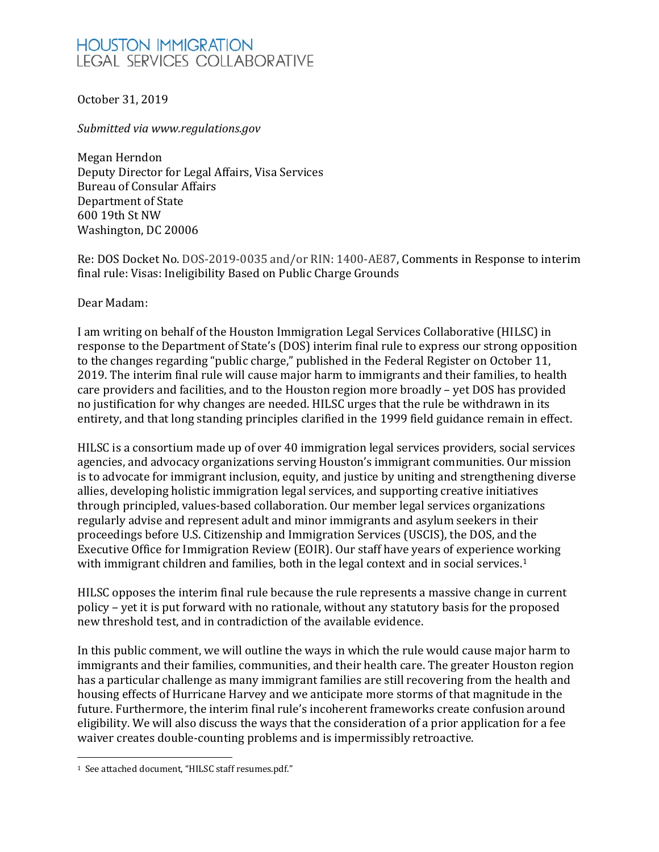# **HOUSTON IMMIGRATION LEGAL SERVICES COLLABORATIVE**

October 31, 2019

*Submitted via www.regulations.gov*

Megan Herndon Deputy Director for Legal Affairs, Visa Services Bureau of Consular Affairs Department of State 600 19th St NW Washington, DC 20006

Re: DOS Docket No. DOS-2019-0035 and/or RIN: 1400-AE87, Comments in Response to interim final rule: Visas: Ineligibility Based on Public Charge Grounds

Dear Madam:

I am writing on behalf of the Houston Immigration Legal Services Collaborative (HILSC) in response to the Department of State's (DOS) interim final rule to express our strong opposition to the changes regarding "public charge," published in the Federal Register on October 11, 2019. The interim final rule will cause major harm to immigrants and their families, to health care providers and facilities, and to the Houston region more broadly – yet DOS has provided no justification for why changes are needed. HILSC urges that the rule be withdrawn in its entirety, and that long standing principles clarified in the 1999 field guidance remain in effect.

HILSC is a consortium made up of over 40 immigration legal services providers, social services agencies, and advocacy organizations serving Houston's immigrant communities. Our mission is to advocate for immigrant inclusion, equity, and justice by uniting and strengthening diverse allies, developing holistic immigration legal services, and supporting creative initiatives through principled, values-based collaboration. Our member legal services organizations regularly advise and represent adult and minor immigrants and asylum seekers in their proceedings before U.S. Citizenship and Immigration Services (USCIS), the DOS, and the Executive Office for Immigration Review (EOIR). Our staff have years of experience [wo](#page-0-0)rking with immigrant children and families, both in the legal context and in social services. 1

HILSC opposes the interim final rule because the rule represents a massive change in current policy – yet it is put forward with no rationale, without any statutory basis for the proposed new threshold test, and in contradiction of the available evidence.

In this public comment, we will outline the ways in which the rule would cause major harm to immigrants and their families, communities, and their health care. The greater Houston region has a particular challenge as many immigrant families are still recovering from the health and housing effects of Hurricane Harvey and we anticipate more storms of that magnitude in the future. Furthermore, the interim final rule's incoherent frameworks create confusion around eligibility. We will also discuss the ways that the consideration of a prior application for a fee waiver creates double-counting problems and is impermissibly retroactive.

<span id="page-0-0"></span><sup>1</sup> See attached document, "HILSC staff resumes.pdf."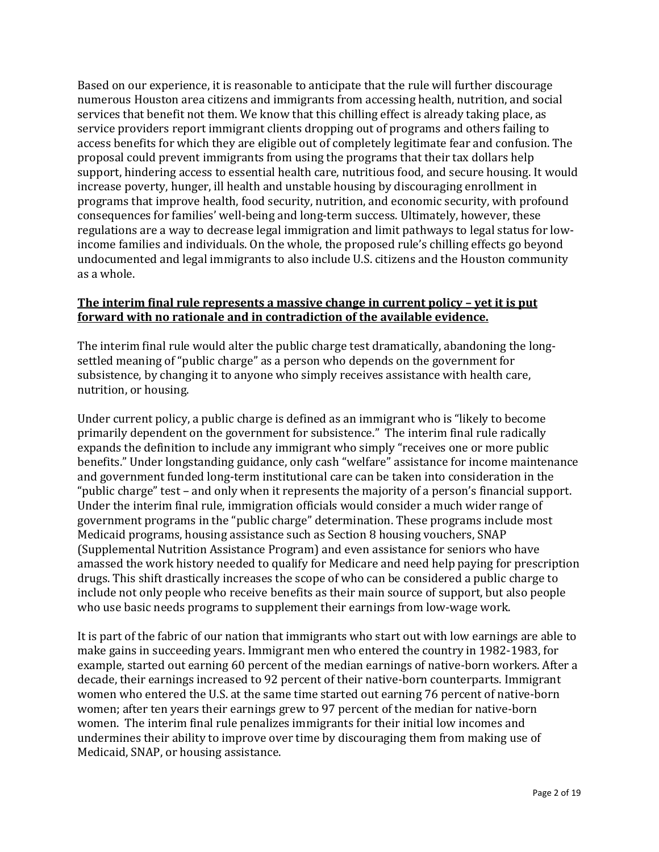Based on our experience, it is reasonable to anticipate that the rule will further discourage numerous Houston area citizens and immigrants from accessing health, nutrition, and social services that benefit not them. We know that this chilling effect is already taking place, as service providers report immigrant clients dropping out of programs and others failing to access benefits for which they are eligible out of completely legitimate fear and confusion. The proposal could prevent immigrants from using the programs that their tax dollars help support, hindering access to essential health care, nutritious food, and secure housing. It would increase poverty, hunger, ill health and unstable housing by discouraging enrollment in programs that improve health, food security, nutrition, and economic security, with profound consequences for families' well-being and long-term success. Ultimately, however, these regulations are a way to decrease legal immigration and limit pathways to legal status for lowincome families and individuals. On the whole, the proposed rule's chilling effects go beyond undocumented and legal immigrants to also include U.S. citizens and the Houston community as a whole.

#### **The interim final rule represents a massive change in current policy – yet it is put forward with no rationale and in contradiction of the available evidence.**

The interim final rule would alter the public charge test dramatically, abandoning the longsettled meaning of "public charge" as a person who depends on the government for subsistence, by changing it to anyone who simply receives assistance with health care, nutrition, or housing.

Under current policy, a public charge is defined as an immigrant who is "likely to become primarily dependent on the government for subsistence." The interim final rule radically expands the definition to include any immigrant who simply "receives one or more public benefits." Under longstanding guidance, only cash "welfare" assistance for income maintenance and government funded long-term institutional care can be taken into consideration in the "public charge" test – and only when it represents the majority of a person's financial support. Under the interim final rule, immigration officials would consider a much wider range of government programs in the "public charge" determination. These programs include most Medicaid programs, housing assistance such as Section 8 housing vouchers, SNAP (Supplemental Nutrition Assistance Program) and even assistance for seniors who have amassed the work history needed to qualify for Medicare and need help paying for prescription drugs. This shift drastically increases the scope of who can be considered a public charge to include not only people who receive benefits as their main source of support, but also people who use basic needs programs to supplement their earnings from low-wage work.

It is part of the fabric of our nation that immigrants who start out with low earnings are able to make gains in succeeding years. Immigrant men who entered the country in 1982-1983, for example, started out earning 60 percent of the median earnings of native-born workers. After a decade, their earnings increased to 92 percent of their native-born counterparts. Immigrant women who entered the U.S. at the same time started out earning 76 percent of native-born women; after ten years their earnings grew to 97 percent of the median for native-born women. The interim final rule penalizes immigrants for their initial low incomes and undermines their ability to improve over time by discouraging them from making use of Medicaid, SNAP, or housing assistance.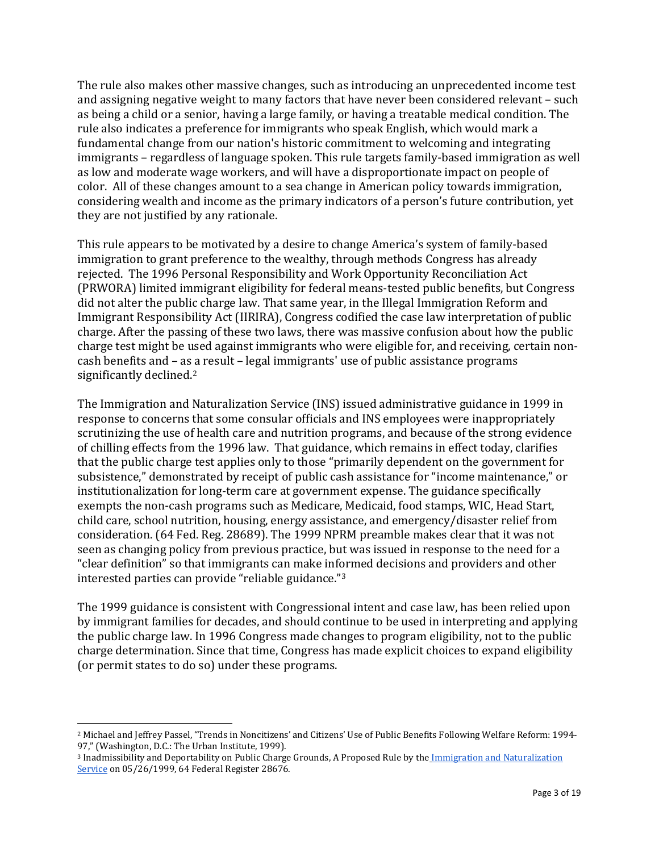The rule also makes other massive changes, such as introducing an unprecedented income test and assigning negative weight to many factors that have never been considered relevant – such as being a child or a senior, having a large family, or having a treatable medical condition. The rule also indicates a preference for immigrants who speak English, which would mark a fundamental change from our nation's historic commitment to welcoming and integrating immigrants – regardless of language spoken. This rule targets family-based immigration as well as low and moderate wage workers, and will have a disproportionate impact on people of color. All of these changes amount to a sea change in American policy towards immigration, considering wealth and income as the primary indicators of a person's future contribution, yet they are not justified by any rationale.

This rule appears to be motivated by a desire to change America's system of family-based immigration to grant preference to the wealthy, through methods Congress has already rejected. The 1996 Personal Responsibility and Work Opportunity Reconciliation Act (PRWORA) limited immigrant eligibility for federal means-tested public benefits, but Congress did not alter the public charge law. That same year, in the Illegal Immigration Reform and Immigrant Responsibility Act (IIRIRA), Congress codified the case law interpretation of public charge. After the passing of these two laws, there was massive confusion about how the public charge test might be used against immigrants who were eligible for, and receiving, certain noncash benefits and – as a result – legal immigrants' use of public assistance programs significantly declined.<sup>[2](#page-2-0)</sup>

The Immigration and Naturalization Service (INS) issued administrative guidance in 1999 in response to concerns that some consular officials and INS employees were inappropriately scrutinizing the use of health care and nutrition programs, and because of the strong evidence of chilling effects from the 1996 law. That guidance, which remains in effect today, clarifies that the public charge test applies only to those "primarily dependent on the government for subsistence," demonstrated by receipt of public cash assistance for "income maintenance," or institutionalization for long-term care at government expense. The guidance specifically exempts the non-cash programs such as Medicare, Medicaid, food stamps, WIC, Head Start, child care, school nutrition, housing, energy assistance, and emergency/disaster relief from consideration. (64 Fed. Reg. 28689). The 1999 NPRM preamble makes clear that it was not seen as changing policy from previous practice, but was issued in response to the need for a "clear definition" so that immigrants can make informed decisions and providers and other interested parties can provide "reliable guidance."[3](#page-2-1)

The 1999 guidance is consistent with Congressional intent and case law, has been relied upon by immigrant families for decades, and should continue to be used in interpreting and applying the public charge law. In 1996 Congress made changes to program eligibility, not to the public charge determination. Since that time, Congress has made explicit choices to expand eligibility (or permit states to do so) under these programs.

<span id="page-2-0"></span><sup>2</sup> Michael and Jeffrey Passel, "Trends in Noncitizens' and Citizens' Use of Public Benefits Following Welfare Reform: 1994- 97," (Washington, D.C.: The Urban Institute, 1999).

<span id="page-2-1"></span><sup>&</sup>lt;sup>3</sup> Inadmissibility and Deportability on Public Charge Grounds, A Proposed Rule by the Immigration and Naturalization [Service](https://www.federalregister.gov/agencies/immigration-and-naturalization-service) on 05/26/1999, 64 Federal Register 28676.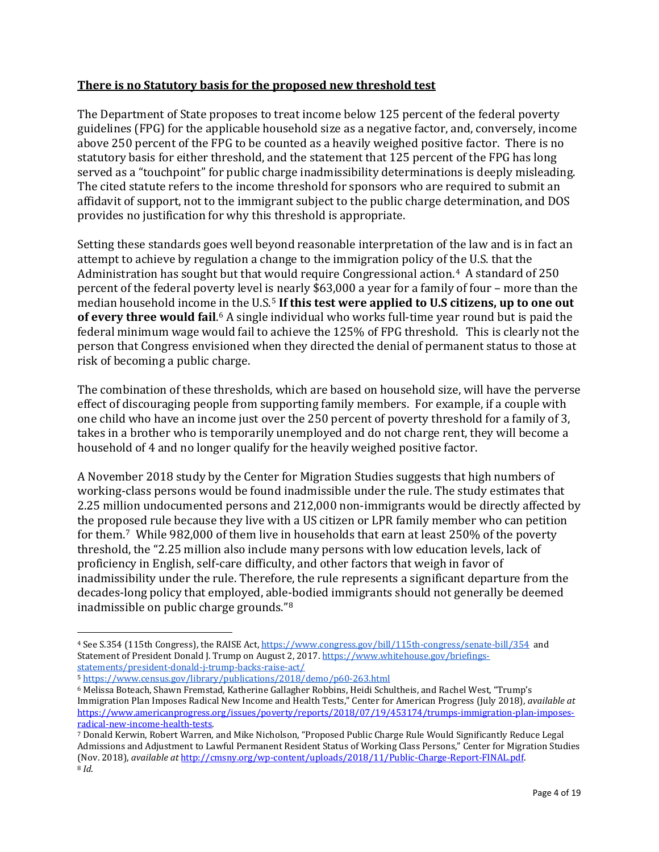#### **There is no Statutory basis for the proposed new threshold test**

The Department of State proposes to treat income below 125 percent of the federal poverty guidelines (FPG) for the applicable household size as a negative factor, and, conversely, income above 250 percent of the FPG to be counted as a heavily weighed positive factor. There is no statutory basis for either threshold, and the statement that 125 percent of the FPG has long served as a "touchpoint" for public charge inadmissibility determinations is deeply misleading. The cited statute refers to the income threshold for sponsors who are required to submit an affidavit of support, not to the immigrant subject to the public charge determination, and DOS provides no justification for why this threshold is appropriate.

Setting these standards goes well beyond reasonable interpretation of the law and is in fact an attempt to achieve by regulation a change to the immigration policy of the U.S. that the Administration has sought but that would require Congressional action[.4](#page-3-0) A standard of 250 percent of the federal poverty level i[s](#page-3-1) nearly \$63,000 a year for a family of four – more than the median household [in](#page-3-2)come in the U.S.<sup>5</sup> If this test were applied to U.S citizens, up to one out **of every three would fail**. <sup>6</sup> A single individual who works full-time year round but is paid the federal minimum wage would fail to achieve the 125% of FPG threshold. This is clearly not the person that Congress envisioned when they directed the denial of permanent status to those at risk of becoming a public charge.

The combination of these thresholds, which are based on household size, will have the perverse effect of discouraging people from supporting family members. For example, if a couple with one child who have an income just over the 250 percent of poverty threshold for a family of 3, takes in a brother who is temporarily unemployed and do not charge rent, they will become a household of 4 and no longer qualify for the heavily weighed positive factor.

A November 2018 study by the Center for Migration Studies suggests that high numbers of working-class persons would be found inadmissible under the rule. The study estimates that 2.25 million undocumented persons and 212,000 non-immigrants would be directly affected by the proposed rule because they live with a US citizen or LPR family member who can petition for them.[7](#page-3-3) While 982,000 of them live in households that earn at least 250% of the poverty threshold, the "2.25 million also include many persons with low education levels, lack of proficiency in English, self-care difficulty, and other factors that weigh in favor of inadmissibility under the rule. Therefore, the rule represents a significant departure from the decades-long policy that employed, able[-b](#page-3-4)odied immigrants should not generally be deemed inadmissible on public charge grounds."8

<span id="page-3-0"></span><sup>4</sup> See S.354 (115th Congress), the RAISE Act[, https://www.congress.gov/bill/115th-congress/senate-bill/354](https://www.congress.gov/bill/115th-congress/senate-bill/354) and Statement of President Donald J. Trump on August 2, 2017[. https://www.whitehouse.gov/briefings](https://www.whitehouse.gov/briefings-statements/president-donald-j-trump-backs-raise-act/)[statements/president-donald-j-trump-backs-raise-act/](https://www.whitehouse.gov/briefings-statements/president-donald-j-trump-backs-raise-act/)

<span id="page-3-1"></span><sup>5</sup> <https://www.census.gov/library/publications/2018/demo/p60-263.html>

<span id="page-3-2"></span><sup>6</sup> Melissa Boteach, Shawn Fremstad, Katherine Gallagher Robbins, Heidi Schultheis, and Rachel West, "Trump's Immigration Plan Imposes Radical New Income and Health Tests," Center for American Progress (July 2018), *available at* [https://www.americanprogress.org/issues/poverty/reports/2018/07/19/453174/trumps-immigration-plan-imposes](https://www.americanprogress.org/issues/poverty/reports/2018/07/19/453174/trumps-immigration-plan-imposes-radical-new-income-health-tests/)[radical-new-income-health-tests.](https://www.americanprogress.org/issues/poverty/reports/2018/07/19/453174/trumps-immigration-plan-imposes-radical-new-income-health-tests/)

<span id="page-3-4"></span><span id="page-3-3"></span><sup>7</sup> Donald Kerwin, Robert Warren, and Mike Nicholson, "Proposed Public Charge Rule Would Significantly Reduce Legal Admissions and Adjustment to Lawful Permanent Resident Status of Working Class Persons," Center for Migration Studies (Nov. 2018), *available at* [http://cmsny.org/wp-content/uploads/2018/11/Public-Charge-Report-FINAL.pdf.](http://cmsny.org/wp-content/uploads/2018/11/Public-Charge-Report-FINAL.pdf) <sup>8</sup> *Id*.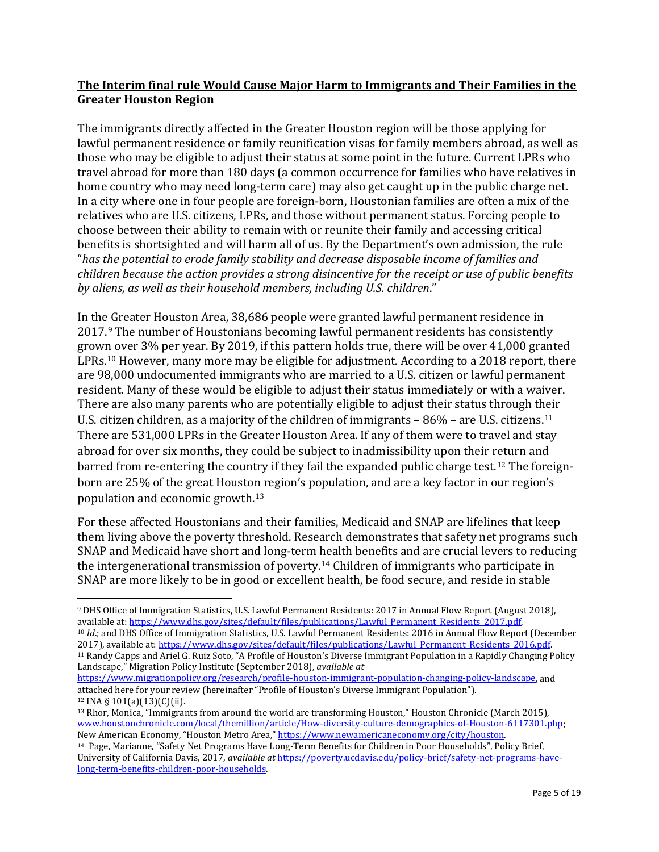#### **The Interim final rule Would Cause Major Harm to Immigrants and Their Families in the Greater Houston Region**

The immigrants directly affected in the Greater Houston region will be those applying for lawful permanent residence or family reunification visas for family members abroad, as well as those who may be eligible to adjust their status at some point in the future. Current LPRs who travel abroad for more than 180 days (a common occurrence for families who have relatives in home country who may need long-term care) may also get caught up in the public charge net. In a city where one in four people are foreign-born, Houstonian families are often a mix of the relatives who are U.S. citizens, LPRs, and those without permanent status. Forcing people to choose between their ability to remain with or reunite their family and accessing critical benefits is shortsighted and will harm all of us. By the Department's own admission, the rule "*has the potential to erode family stability and decrease disposable income of families and children because the action provides a strong disincentive for the receipt or use of public benefits by aliens, as well as their household members, including U.S. children*."

In the Greater Houston Area, 38,686 people were granted lawful permanent residence in 2017.[9](#page-4-0) The number of Houstonians becoming lawful permanent residents has consistently grown over 3% per year. By 2019, if this pattern holds true, there will be over 41,000 granted LPRs.[10](#page-4-1) However, many more may be eligible for adjustment. According to a 2018 report, there are 98,000 undocumented immigrants who are married to a U.S. citizen or lawful permanent resident. Many of these would be eligible to adjust their status immediately or with a waiver. There are also many parents who are potentially eligible to adjust their status through their U.S. citizen children, as a majority of the children of immigrants - 86% - are U.S. citizens.<sup>[11](#page-4-2)</sup> There are 531,000 LPRs in the Greater Houston Area. If any of them were to travel and stay abroad for over six months, they could be subject to inadmissibility upon their [ret](#page-4-3)urn and barred from re-entering the country if they fail the expanded public charge test. <sup>12</sup> The foreignborn are 25% of the great Houston region's population, and are a key factor in our region's population and economic growth.[13](#page-4-4)

For these affected Houstonians and their families, Medicaid and SNAP are lifelines that keep them living above the poverty threshold. Research demonstrates that safety net programs such SNAP and Medicaid have short and long-term health benefits and are crucial levers to reducing the intergenerational transmission of poverty.[14](#page-4-5) Children of immigrants who participate in SNAP are more likely to be in good or excellent health, be food secure, and reside in stable

<span id="page-4-0"></span><sup>&</sup>lt;sup>9</sup> DHS Office of Immigration Statistics, U.S. Lawful Permanent Residents: 2017 in Annual Flow Report (August 2018), available at: https://www.dhs.gov/sites/default/files/publications/Lawful Permanent Residents 2017.pdf. <sup>10</sup> Id.; and DHS Office of Immigration Statistics, U.S. Lawful Permanent Residents: 2016 in Annual Flow Report (December

<span id="page-4-1"></span><sup>2017),</sup> available at: https://www.dhs.gov/sites/default/files/publications/Lawful Permanent Residents 2016.pdf.

<span id="page-4-2"></span><sup>11</sup> Randy Capps and Ariel G. Ruiz Soto, "A Profile of Houston's Diverse Immigrant Population in a Rapidly Changing Policy Landscape," Migration Policy Institute (September 2018), *available at*

[https://www.migrationpolicy.org/research/profile-houston-immigrant-population-changing-policy-landscape,](https://www.migrationpolicy.org/research/profile-houston-immigrant-population-changing-policy-landscape) and attached here for your review (hereinafter "Profile of Houston's Diverse Immigrant Population"). <sup>12</sup> INA § 101(a)(13)(C)(ii).

<span id="page-4-4"></span><span id="page-4-3"></span><sup>13</sup> Rhor, Monica, "Immigrants from around the world are transforming Houston," Houston Chronicle (March 2015), www.houstonchronicle.com/local/themillion/article/How-diversity-culture-demographics-of-Houston-6117301.php;<br>New American Economy, "Houston Metro Area," https://www.newamericaneconomy.org/city/houston.

<span id="page-4-5"></span><sup>&</sup>lt;sup>14</sup> Page, Marianne, "Safety Net Programs Have Long-Term Benefits for Children in Poor Households", Policy Brief, University of California Davis, 2017, *available at* [https://poverty.ucdavis.edu/policy-brief/safety-net-programs-have](https://poverty.ucdavis.edu/policy-brief/safety-net-programs-have-long-term-benefits-children-poor-households)[long-term-benefits-children-poor-households.](https://poverty.ucdavis.edu/policy-brief/safety-net-programs-have-long-term-benefits-children-poor-households)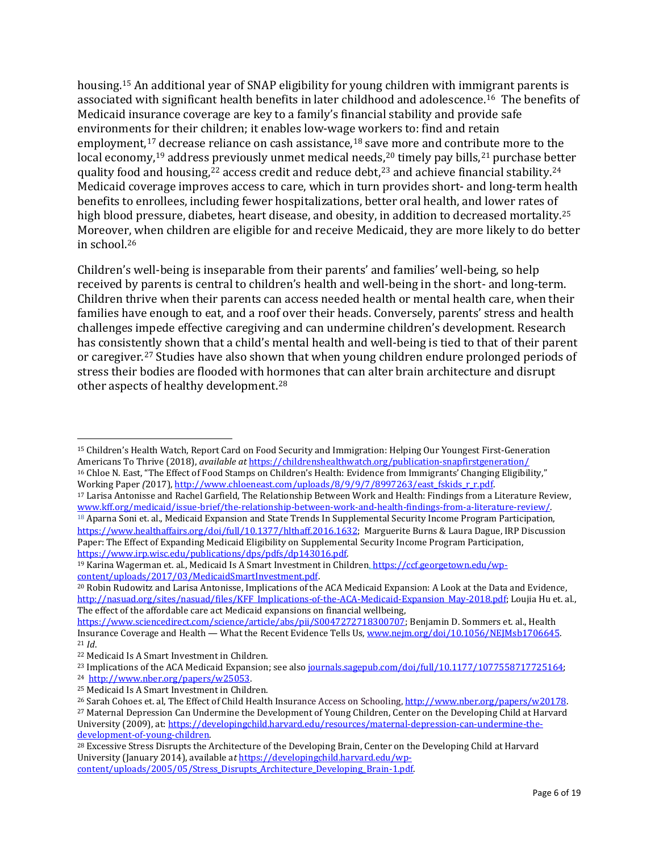housing.[15](#page-5-0) An additional year of SNAP eligibility for young children with immigrant parents is associated with significant health benefits in later childhood and adolescence[.16](#page-5-1) The benefits of Medicaid insurance coverage are key to a family's financial stability and provide safe environments for their children; it enables low-wage workers to: find and retain employment,<sup>[17](#page-5-2)</sup> decrease reliance on cash assistance,<sup>18</sup> save more and contribute more to the local economy,<sup>[19](#page-5-4)</sup> address [pr](#page-5-7)eviously unmet medical needs,<sup>2[0](#page-5-5)</sup> timely pay bills,<sup>[21](#page-5-6)</sup> purchase better quality food and housing,  $22$  access credit and reduce debt,  $23$  and achieve financial stability.  $24$ Medicaid coverage improves access to care, which in turn provides short- and long-term health benefits to enrollees, including fewer hospitalizations, better oral health, and lower rates of high blood pressure, diabetes, heart disease, and obesity, in addition to decreased mortality.<sup>[25](#page-5-10)</sup> Moreover, when children are eligible for and receive Medicaid, they are more likely to do better in school.[26](#page-5-11)

Children's well-being is inseparable from their parents' and families' well-being, so help received by parents is central to children's health and well-being in the short- and long-term. Children thrive when their parents can access needed health or mental health care, when their families have enough to eat, and a roof over their heads. Conversely, parents' stress and health challenges impede effective caregiving and can undermine children's development. Research has consistently shown that a child's mental health and well-being is tied to that of their parent or caregiver.[27](#page-5-12) Studies have also shown that when young children endure prolonged periods of stress their bodies are flooded with h[orm](#page-5-13)ones that can alter brain architecture and disrupt other aspects of healthy development. 28

<span id="page-5-0"></span><sup>15</sup> Children's Health Watch, Report Card on Food Security and Immigration: Helping Our Youngest First-Generation Americans To Thrive (2018), *available at* <https://childrenshealthwatch.org/publication-snapfirstgeneration/> <sup>16</sup> Chloe N. East, "The Effect of Food Stamps on Children's Health: Evidence from Immigrants' Changing Eligibility," Working Paper (2017), http://www.chloeneast.com/uploads/8/9/9/7/8997263/east fskids r r.pdf.

<span id="page-5-2"></span><span id="page-5-1"></span><sup>17</sup> Larisa Antonisse and Rachel Garfield, The Relationship Between Work and Health: Findings from a Literature Review, [www.kff.org/medicaid/issue-brief/the-relationship-between-work-and-health-findings-from-a-literature-review/.](http://www.kff.org/medicaid/issue-brief/the-relationship-between-work-and-health-findings-from-a-literature-review/)

<span id="page-5-3"></span><sup>18</sup> Aparna Soni et. al., Medicaid Expansion and State Trends In Supplemental Security Income Program Participation, [https://www.healthaffairs.org/doi/full/10.1377/hlthaff.2016.1632;](https://www.healthaffairs.org/doi/full/10.1377/hlthaff.2016.1632) Marguerite Burns & Laura Dague, IRP Discussion Paper: The Effect of Expanding Medicaid Eligibility on Supplemental Security Income Program Participation, [https://www.irp.wisc.edu/publications/dps/pdfs/dp143016.pdf.](https://www.irp.wisc.edu/publications/dps/pdfs/dp143016.pdf)

<span id="page-5-4"></span><sup>19</sup> Karina Wagerman et. al., Medicaid Is A Smart Investment in Children, [https://ccf.georgetown.edu/wp](https://ccf.georgetown.edu/wp-content/uploads/2017/03/MedicaidSmartInvestment.pdf)[content/uploads/2017/03/MedicaidSmartInvestment.pdf.](https://ccf.georgetown.edu/wp-content/uploads/2017/03/MedicaidSmartInvestment.pdf)

<span id="page-5-5"></span><sup>20</sup> Robin Rudowitz and Larisa Antonisse, Implications of the ACA Medicaid Expansion: A Look at the Data and Evidence, [http://nasuad.org/sites/nasuad/files/KFF\\_Implications-of-the-ACA-Medicaid-Expansion\\_May-2018.pdf;](http://nasuad.org/sites/nasuad/files/KFF_Implications-of-the-ACA-Medicaid-Expansion_May-2018.pdf) Loujia Hu et. al., The effect of the affordable care act Medicaid expansions on financial wellbeing,

[https://www.sciencedirect.com/science/article/abs/pii/S0047272718300707;](https://www.sciencedirect.com/science/article/abs/pii/S0047272718300707) Benjamin D. Sommers et. al., Health Insurance Coverage and Health — What the Recent Evidence Tells Us[, www.nejm.org/doi/10.1056/NEJMsb1706645.](http://www.nejm.org/doi/10.1056/NEJMsb1706645) <sup>21</sup> *Id*.

<span id="page-5-7"></span><span id="page-5-6"></span><sup>22</sup> Medicaid Is A Smart Investment in Children.

<span id="page-5-9"></span><span id="page-5-8"></span><sup>&</sup>lt;sup>23</sup> [Implications of the ACA Medicaid Expans](http://www.nber.org/papers/w25053)ion; see als[o journals.sagepub.com/doi/full/10.1177/1077558717725164;](http://journals.sagepub.com/doi/full/10.1177/1077558717725164)<br><sup>24</sup> http://www.nber.org/papers/w25053.

<span id="page-5-12"></span><span id="page-5-11"></span><span id="page-5-10"></span><sup>&</sup>lt;sup>25</sup> Medicaid Is A Smart Investment in Children.<br><sup>26</sup> Sarah Cohoes et. al, The Effect of Child Health Insurance Access on Schooling, http://www.nber.org/papers/w20178. <sup>27</sup> Maternal Depression Can Undermine the Development of Young Children, Center on the Developing Child at Harvard University (2009), at[: https://developingchild.harvard.edu/resources/maternal-depression-can-undermine-the](https://developingchild.harvard.edu/resources/maternal-depression-can-undermine-the-development-of-young-children)[development-of-young-children.](https://developingchild.harvard.edu/resources/maternal-depression-can-undermine-the-development-of-young-children)

<span id="page-5-13"></span><sup>&</sup>lt;sup>28</sup> Excessive Stress Disrupts the Architecture of the Developing Brain, Center on the Developing Child at Harvard University (January 2014), available a*t* [https://developingchild.harvard.edu/wp](https://developingchild.harvard.edu/wp-content/uploads/2005/05/Stress_Disrupts_Architecture_Developing_Brain-1.pdf)[content/uploads/2005/05/Stress\\_Disrupts\\_Architecture\\_Developing\\_Brain-1.pdf.](https://developingchild.harvard.edu/wp-content/uploads/2005/05/Stress_Disrupts_Architecture_Developing_Brain-1.pdf)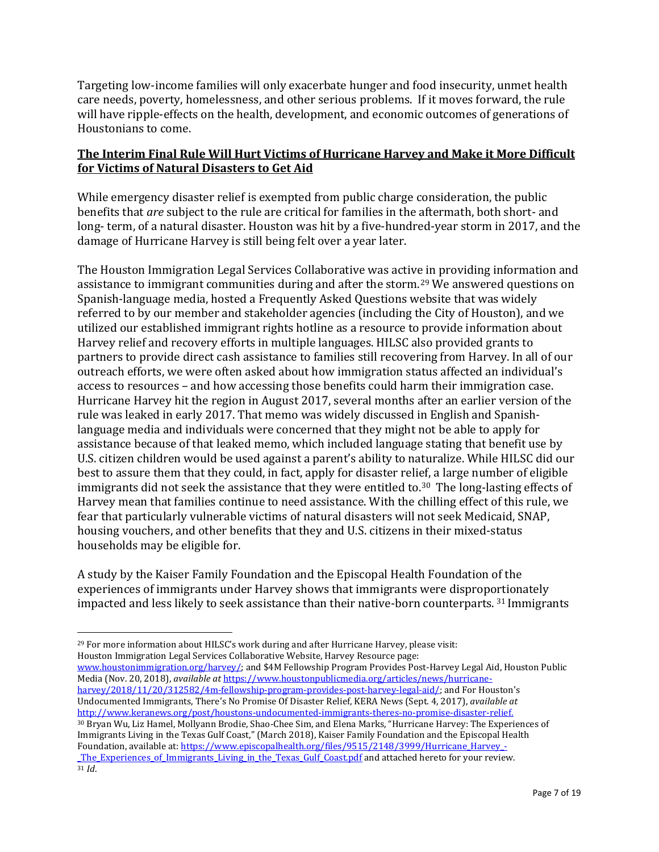Targeting low-income families will only exacerbate hunger and food insecurity, unmet health care needs, poverty, homelessness, and other serious problems. If it moves forward, the rule will have ripple-effects on the health, development, and economic outcomes of generations of Houstonians to come.

## **The Interim Final Rule Will Hurt Victims of Hurricane Harvey and Make it More Difficult for Victims of Natural Disasters to Get Aid**

While emergency disaster relief is exempted from public charge consideration, the public benefits that *are* subject to the rule are critical for families in the aftermath, both short- and long- term, of a natural disaster. Houston was hit by a five-hundred-year storm in 2017, and the damage of Hurricane Harvey is still being felt over a year later.

The Houston Immigration Legal Services Collaborative was active in providing information and assistance to immigrant communities during and after the storm.[29](#page-6-0) We answered questions on Spanish-language media, hosted a Frequently Asked Questions website that was widely referred to by our member and stakeholder agencies (including the City of Houston), and we utilized our established immigrant rights hotline as a resource to provide information about Harvey relief and recovery efforts in multiple languages. HILSC also provided grants to partners to provide direct cash assistance to families still recovering from Harvey. In all of our outreach efforts, we were often asked about how immigration status affected an individual's access to resources – and how accessing those benefits could harm their immigration case. Hurricane Harvey hit the region in August 2017, several months after an earlier version of the rule was leaked in early 2017. That memo was widely discussed in English and Spanishlanguage media and individuals were concerned that they might not be able to apply for assistance because of that leaked memo, which included language stating that benefit use by U.S. citizen children would be used against a parent's ability to naturalize. While HILSC did our best to assure them that they could, in fact, apply for disaster relief, a large number of eligible immigrants did not seek the assistance that they were entitled to.<sup>[30](#page-6-1)</sup> The long-lasting effects of Harvey mean that families continue to need assistance. With the chilling effect of this rule, we fear that particularly vulnerable victims of natural disasters will not seek Medicaid, SNAP, housing vouchers, and other benefits that they and U.S. citizens in their mixed-status households may be eligible for.

A study by the Kaiser Family Foundation and the Episcopal Health Foundation of the experiences of immigrants under Harvey shows that immigrants were dispropo[rt](#page-6-2)ionately impacted and less likely to seek assistance than their native-born counterparts. <sup>31</sup> Immigrants

[www.houstonimmigration.org/harvey/;](http://www.houstonimmigration.org/harvey/) and \$4M Fellowship Program Provides Post-Harvey Legal Aid, Houston Public Media (Nov. 20, 2018), *available at* [https://www.houstonpublicmedia.org/articles/news/hurricane](https://www.houstonpublicmedia.org/articles/news/hurricane-harvey/2018/11/20/312582/4m-fellowship-program-provides-post-harvey-legal-aid/)[harvey/2018/11/20/312582/4m-fellowship-program-provides-post-harvey-legal-aid/;](https://www.houstonpublicmedia.org/articles/news/hurricane-harvey/2018/11/20/312582/4m-fellowship-program-provides-post-harvey-legal-aid/) and For Houston's Undocumented Immigrants, There's No Promise Of Disaster Relief, KERA News (Sept. 4, 2017), *available at* [http://www.keranews.org/post/houstons-undocumented-immigrants-theres-no-promise-disaster-relief.](http://www.keranews.org/post/houstons-undocumented-immigrants-theres-no-promise-disaster-relief) <sup>30</sup> Bryan Wu, Liz Hamel, Mollyann Brodie, Shao-Chee Sim, and Elena Marks, "Hurricane Harvey: The Experiences of

<span id="page-6-2"></span><span id="page-6-1"></span>Immigrants Living in the Texas Gulf Coast," (March 2018), Kaiser Family Foundation and the Episcopal Health Foundation, available at[: https://www.episcopalhealth.org/files/9515/2148/3999/Hurricane\\_Harvey\\_](https://www.episcopalhealth.org/files/9515/2148/3999/Hurricane_Harvey_-_The_Experiences_of_Immigrants_Living_in_the_Texas_Gulf_Coast.pdf) The Experiences of Immigr[a](https://www.episcopalhealth.org/files/9515/2148/3999/Hurricane_Harvey_-_The_Experiences_of_Immigrants_Living_in_the_Texas_Gulf_Coast.pdf)nts Living in the Texas Gulf Coast.pdf and attached hereto for your review. 31 *Id.* 

<span id="page-6-0"></span><sup>29</sup> For more information about HILSC's work during and after Hurricane Harvey, please visit: Houston Immigration Legal Services Collaborative Website, Harvey Resource page: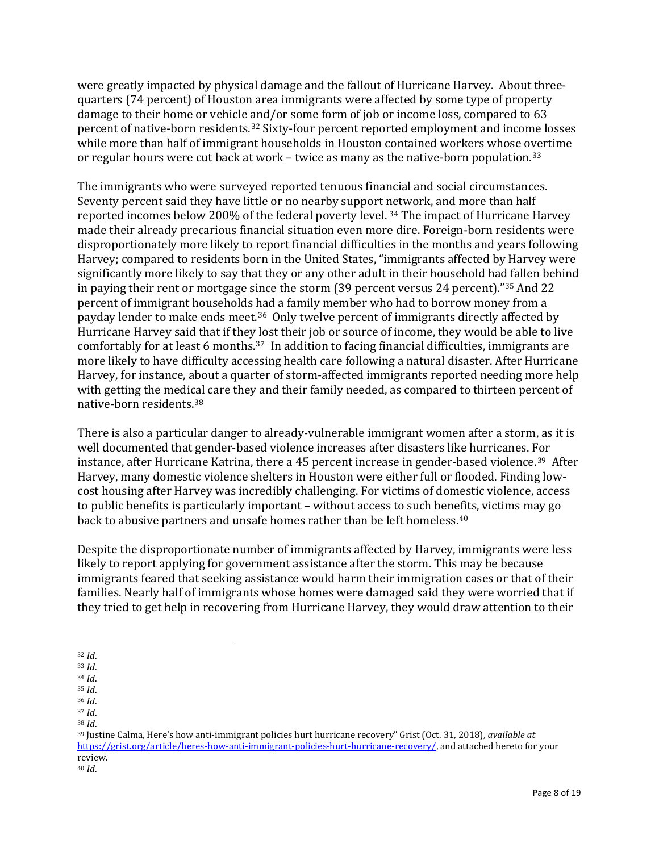were greatly impacted by physical damage and the fallout of Hurricane Harvey. About threequarters (74 percent) of Houston area immigrants were affected by some type of property damage to their home or vehicle and/or some form of job or income loss, compared to 63 percent of native-born residents.[32](#page-7-0) Sixty-four percent reported employment and income losses while more than half of immigrant households in Houston contained workers whose overtime or regular hours were cut back at work – twice as many as the native-born population.<sup>[33](#page-7-1)</sup>

The immigrants who were surveyed reported tenuous financial and social circumstances. Seventy percent said they have little or no nearby support [ne](#page-7-2)twork, and more than half reported incomes below 200% of the federal poverty level. <sup>34</sup> The impact of Hurricane Harvey made their already precarious financial situation even more dire. Foreign-born residents were disproportionately more likely to report financial difficulties in the months and years following Harvey; compared to residents born in the United States, "immigrants affected by Harvey were significantly more likely to say that they or any other adult in their household had fallen behind in paying their rent or mortgage since the storm  $(39$  percent versus 24 percent)."<sup>[35](#page-7-3)</sup> And 22 percent of immigrant households [ha](#page-7-4)d a family member who had to borrow money from a payday lender to make ends meet. <sup>36</sup> Only twelve percent of immigrants directly affected by Hurricane Harvey said that if they lost their job or source of income, they would be able to live comfortably for at least 6 months.[37](#page-7-5) In addition to facing financial difficulties, immigrants are more likely to have difficulty accessing health care following a natural disaster. After Hurricane Harvey, for instance, about a quarter of storm-affected immigrants reported needing more help with getting the medical care they and their family needed, as compared to thirteen percent of native-born residents.[38](#page-7-6)

There is also a particular danger to already-vulnerable immigrant women after a storm, as it is well documented that gender-based violence increases after disasters like hurricanes. For instance, after Hurricane Katrina, there a 45 percent increase in gender-based violence.[39](#page-7-7) After Harvey, many domestic violence shelters in Houston were either full or flooded. Finding lowcost housing after Harvey was incredibly challenging. For victims of domestic violence, access to public benefits is particularly important – without access to such benefits, victims may go back to abusive partners and unsafe homes rather than be left homeless.<sup>[40](#page-7-8)</sup>

Despite the disproportionate number of immigrants affected by Harvey, immigrants were less likely to report applying for government assistance after the storm. This may be because immigrants feared that seeking assistance would harm their immigration cases or that of their families. Nearly half of immigrants whose homes were damaged said they were worried that if they tried to get help in recovering from Hurricane Harvey, they would draw attention to their

<span id="page-7-5"></span><span id="page-7-4"></span><sup>37</sup> *Id*.

<span id="page-7-0"></span><sup>32</sup> *Id*.

<span id="page-7-1"></span><sup>33</sup> *Id*.

<span id="page-7-2"></span><sup>34</sup> *Id*.

<span id="page-7-3"></span><sup>35</sup> *Id*. <sup>36</sup> *Id*.

<span id="page-7-6"></span><sup>38</sup> *Id*.

<span id="page-7-8"></span><span id="page-7-7"></span><sup>39</sup> Justine Calma, Here's how anti-immigrant policies hurt hurricane recovery" Grist (Oct. 31, 2018), *available at* [https://grist.org/article/heres-how-anti-immigrant-policies-hurt-hurricane-recovery/,](https://grist.org/article/heres-how-anti-immigrant-policies-hurt-hurricane-recovery/) and attached hereto for your review. <sup>40</sup> *Id*.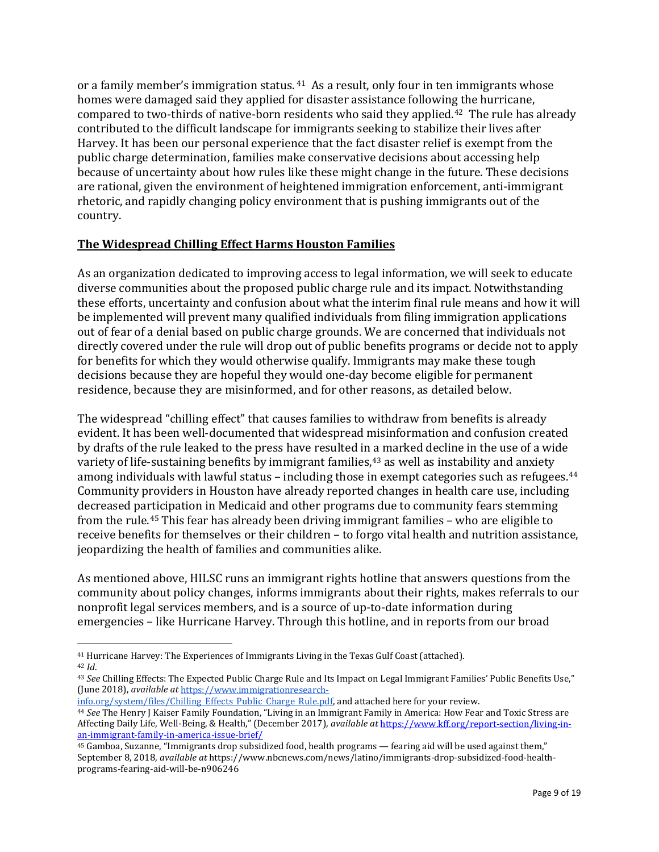or a family member's immigration status. <sup>41</sup> As a result, only four in ten immigrants whose homes were damaged said they applied f[or](#page-8-0) disaster assistance following the hurricane, compared to two-thirds of native-born residents who said they applied.[42](#page-8-1) The rule has already contributed to the difficult landscape for immigrants seeking to stabilize their lives after Harvey. It has been our personal experience that the fact disaster relief is exempt from the public charge determination, families make conservative decisions about accessing help because of uncertainty about how rules like these might change in the future. These decisions are rational, given the environment of heightened immigration enforcement, anti-immigrant rhetoric, and rapidly changing policy environment that is pushing immigrants out of the country.

## **The Widespread Chilling Effect Harms Houston Families**

As an organization dedicated to improving access to legal information, we will seek to educate diverse communities about the proposed public charge rule and its impact. Notwithstanding these efforts, uncertainty and confusion about what the interim final rule means and how it will be implemented will prevent many qualified individuals from filing immigration applications out of fear of a denial based on public charge grounds. We are concerned that individuals not directly covered under the rule will drop out of public benefits programs or decide not to apply for benefits for which they would otherwise qualify. Immigrants may make these tough decisions because they are hopeful they would one-day become eligible for permanent residence, because they are misinformed, and for other reasons, as detailed below.

The widespread "chilling effect" that causes families to withdraw from benefits is already evident. It has been well-documented that widespread misinformation and confusion created by drafts of the rule leaked to the press have resulted in a marked decline in the use of a wide variety of life-sustaining benefits by immigrant families,<sup>[43](#page-8-2)</sup> as well as instability and anxiety among individuals with lawful status – including those in exempt categories such as refugees.<sup>[44](#page-8-3)</sup> Community providers in Houston have already reported changes in health care use, including decreased pa[rti](#page-8-4)cipation in Medicaid and other programs due to community fears stemming from the rule. <sup>45</sup> This fear has already been driving immigrant families – who are eligible to receive benefits for themselves or their children – to forgo vital health and nutrition assistance, jeopardizing the health of families and communities alike.

As mentioned above, HILSC runs an immigrant rights hotline that answers questions from the community about policy changes, informs immigrants about their rights, makes referrals to our nonprofit legal services members, and is a source of up-to-date information during emergencies – like Hurricane Harvey. Through this hotline, and in reports from our broad

<span id="page-8-1"></span><span id="page-8-0"></span><sup>41</sup> Hurricane Harvey: The Experiences of Immigrants Living in the Texas Gulf Coast (attached). <sup>42</sup> *Id*.

<span id="page-8-2"></span><sup>43</sup> *See* Chilling Effects: The Expected Public Charge Rule and Its Impact on Legal Immigrant Families' Public Benefits Use," (June 2018), *available at* https://www.immigrationresearch-<br>info.org/system/files/Chilling Effects Public Charge Rule.pdf, and attached here for your review.

<span id="page-8-3"></span><sup>&</sup>lt;sup>44</sup> See The Henry J Kaiser Family Foundation, "Living in an Immigrant Family in America: How Fear and Toxic Stress are Affecting Daily Life, Well-Being, & Health," (December 2017), *available at* [https://www.kff.org/report-section/living-in-](https://www.kff.org/report-section/living-in-an-immigrant-family-in-america-issue-brief/)

<span id="page-8-4"></span><sup>45</sup> Gamboa, Suzanne, "Immigrants drop subsidized food, health programs — fearing aid will be used against them," September 8, 2018, *available at* https://www.nbcnews.com/news/latino/immigrants-drop-subsidized-food-healthprograms-fearing-aid-will-be-n906246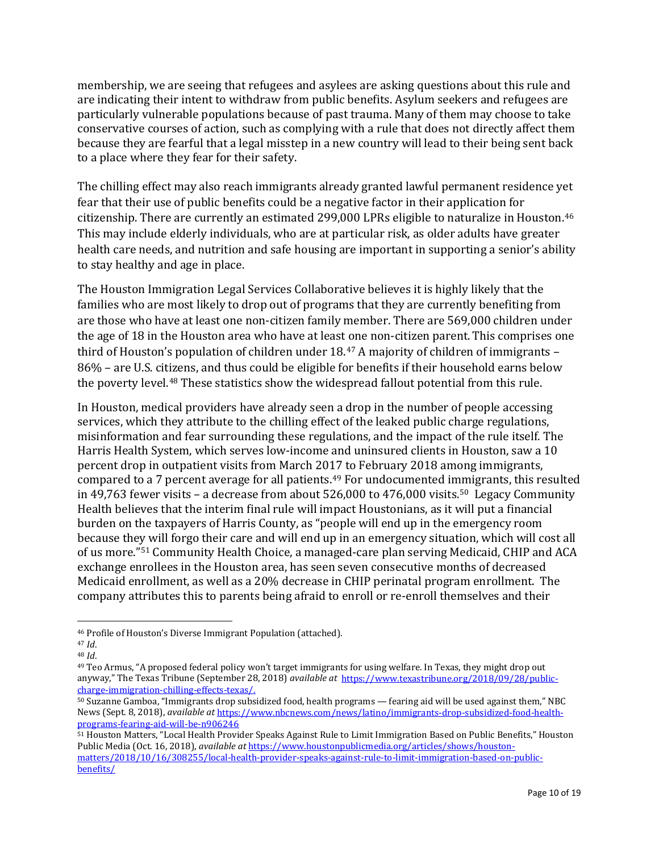membership, we are seeing that refugees and asylees are asking questions about this rule and are indicating their intent to withdraw from public benefits. Asylum seekers and refugees are particularly vulnerable populations because of past trauma. Many of them may choose to take conservative courses of action, such as complying with a rule that does not directly affect them because they are fearful that a legal misstep in a new country will lead to their being sent back to a place where they fear for their safety.

The chilling effect may also reach immigrants already granted lawful permanent residence yet fear that their use of public benefits could be a negative factor in their application for citizenship. There are currently an estimated 299,000 LPRs eligible to naturalize in Houston.[46](#page-9-0) This may include elderly individuals, who are at particular risk, as older adults have greater health care needs, and nutrition and safe housing are important in supporting a senior's ability to stay healthy and age in place.

The Houston Immigration Legal Services Collaborative believes it is highly likely that the families who are most likely to drop out of programs that they are currently benefiting from are those who have at least one non-citizen family member. There are 569,000 children under the age of 18 in the Houston area who have at least one non-citizen parent.This comprises one third of Houston's population of children under 18.<sup>[47](#page-9-1)</sup> A majority of children of immigrants – 86% – are U.S. citizens, and thus could be eligible for benefits if their household earns below the poverty level.[48](#page-9-2) These statistics show the widespread fallout potential from this rule.

In Houston, medical providers have already seen a drop in the number of people accessing services, which they attribute to the chilling effect of the leaked public charge regulations, misinformation and fear surrounding these regulations, and the impact of the rule itself. The Harris Health System, which serves low-income and uninsured clients in Houston, saw a 10 percent drop in outpatient visits from March 2017 to February 2018 among immigrants, compared to a 7 percent average for all patients.<sup>[49](#page-9-3)</sup> For undocumented immigrants, this resulted in 49,763 fewer visits – a decrease from about  $526,000$  to  $476,000$  visits.<sup>[50](#page-9-4)</sup> Legacy Community Health believes that the interim final rule will impact Houstonians, as it will put a financial burden on the taxpayers of Harris County, as "people will end up in the emergency room because they will forgo their care and will end up in an emergency situation, which will cost all of us more."[51](#page-9-5) Community Health Choice, a managed-care plan serving Medicaid, CHIP and ACA exchange enrollees in the Houston area, has seen seven consecutive months of decreased Medicaid enrollment, as well as a 20% decrease in CHIP perinatal program enrollment. The company attributes this to parents being afraid to enroll or re-enroll themselves and their

<span id="page-9-0"></span><sup>46</sup> Profile of Houston's Diverse Immigrant Population (attached).

<span id="page-9-1"></span><sup>47</sup> *Id*.

<span id="page-9-2"></span><sup>48</sup> *Id*.

<span id="page-9-3"></span><sup>49</sup> Teo Armus, "A proposed federal policy won't target immigrants for using welfare. In Texas, they might drop out anyway," The Texas Tribune (September 28, 2018) *available at* [https://www.texastribune.org/2018/09/28/public-](https://www.texastribune.org/2018/09/28/public-charge-immigration-chilling-effects-texas/)

<span id="page-9-4"></span> $50$  Suzanne Gamboa, "Immigrants drop subsidized food, health programs — fearing aid will be used against them," NBC News (Sept. 8, 2018), *available at* [https://www.nbcnews.com/news/latino/immigrants-drop-subsidized-food-health](https://www.nbcnews.com/news/latino/immigrants-drop-subsidized-food-health-programs-fearing-aid-will-be-n906246)[programs-fearing-aid-will-be-n906246](https://www.nbcnews.com/news/latino/immigrants-drop-subsidized-food-health-programs-fearing-aid-will-be-n906246)

<span id="page-9-5"></span><sup>51</sup> Houston Matters, "Local Health Provider Speaks Against Rule to Limit Immigration Based on Public Benefits," Houston Public Media (Oct. 16, 2018), *available at* [https://www.houstonpublicmedia.org/articles/shows/houston](https://www.houstonpublicmedia.org/articles/shows/houston-matters/2018/10/16/308255/local-health-provider-speaks-against-rule-to-limit-immigration-based-on-public-benefits/)[matters/2018/10/16/308255/local-health-provider-speaks-against-rule-to-limit-immigration-based-on-public](https://www.houstonpublicmedia.org/articles/shows/houston-matters/2018/10/16/308255/local-health-provider-speaks-against-rule-to-limit-immigration-based-on-public-benefits/)[benefits/](https://www.houstonpublicmedia.org/articles/shows/houston-matters/2018/10/16/308255/local-health-provider-speaks-against-rule-to-limit-immigration-based-on-public-benefits/)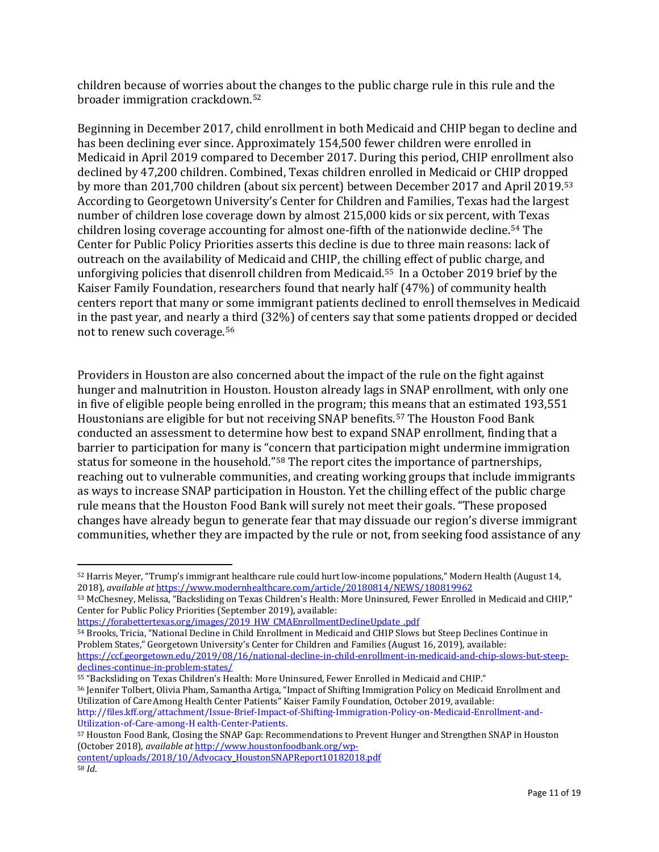children because of worries about the changes to the public charge rule in this rule and the broader immigration crackdown.[52](#page-10-0)

Beginning in December 2017, child enrollment in both Medicaid and CHIP began to decline and has been declining ever since. Approximately 154,500 fewer children were enrolled in Medicaid in April 2019 compared to December 2017. During this period, CHIP enrollment also declined by 47,200 children. Combined, Texas children enrolled in Medicaid or CHIP dropped by more than 201,700 children (about six percent) between December 2017 and April 2019.[53](#page-10-1) According to Georgetown University's Center for Children and Families, Texas had the largest number of children lose coverage down by almost 215,000 kids or six percent, with Texas children losing coverage accounting for almost one-fifth of the nationwide decline.[54](#page-10-2) The Center for Public Policy Priorities asserts this decline is due to three main reasons: lack of outreach on the availability of Medicaid and CHIP, the chilling effect of public charge, and unforgiving policies that disenroll children from Medicaid.[55](#page-10-3) In a October 2019 brief by the Kaiser Family Foundation, researchers found that nearly half (47%) of community health centers report that many or some immigrant patients declined to enroll themselves in Medicaid in the past year, and nearly a third (32%) of centers say that some patients dropped or decided not to renew such coverage.[56](#page-10-4)

Providers in Houston are also concerned about the impact of the rule on the fight against hunger and malnutrition in Houston. Houston already lags in SNAP enrollment, with only one in five of eligible people being enrolled in the program; this means that an estimated 193,551 Houstonians are eligible for but not receiving SNAP benefits.[57](#page-10-5) The Houston Food Bank conducted an assessment to determine how best to expand SNAP enrollment, finding that a barrier to participation for many is "concern that participation might undermine immigration status for someone in the household."<sup>[58](#page-10-6)</sup> The report cites the importance of partnerships, reaching out to vulnerable communities, and creating working groups that include immigrants as ways to increase SNAP participation in Houston. Yet the chilling effect of the public charge rule means that the Houston Food Bank will surely not meet their goals. "These proposed changes have already begun to generate fear that may dissuade our region's diverse immigrant communities, whether they are impacted by the rule or not, from seeking food assistance of any

<span id="page-10-4"></span><span id="page-10-3"></span><sup>55</sup> "Backsliding on Texas Children's Health: More Uninsured, Fewer Enrolled in Medicaid and CHIP." <sup>56</sup> Jennifer Tolbert, Olivia Pham, Samantha Artiga, "Impact of Shifting Immigration Policy on Medicaid Enrollment and Utilization of CareAmong Health Center Patients" Kaiser Family Foundation, October 2019, available: http://files.kff.org/attachment/Issue-Brief-Impact-of-Shifting-Immigration-Policy-on-Medicaid-Enrollment-and-Utilization-of-Care-among-H ealth-Center-Patients.

<span id="page-10-0"></span><sup>52</sup> Harris Meyer, "Trump's immigrant healthcare rule could hurt low-income populations," Modern Health (August 14, 2018), *available at* <https://www.modernhealthcare.com/article/20180814/NEWS/180819962>

<span id="page-10-1"></span><sup>53</sup> McChesney, Melissa, "Backsliding on Texas Children's Health: More Uninsured, Fewer Enrolled in Medicaid and CHIP," Center for Public Policy Priorities (September 2019), available:

[https://forabettertexas.org/images/2019\\_HW\\_CMAEnrollmentDeclineUpdate\\_.pdf](https://forabettertexas.org/images/2019_HW_CMAEnrollmentDeclineUpdate_.pdf)

<span id="page-10-2"></span><sup>54</sup> Brooks, Tricia, "National Decline in Child Enrollment in Medicaid and CHIP Slows but Steep Declines Continue in Problem States," Georgetown University's Center for Children and Families (August 16, 2019), available: [https://ccf.georgetown.edu/2019/08/16/national-decline-in-child-enrollment-in-medicaid-and-chip-slows-but-steep](https://ccf.georgetown.edu/2019/08/16/national-decline-in-child-enrollment-in-medicaid-and-chip-slows-but-steep-declines-continue-in-problem-states/)[declines-continue-in-problem-states/](https://ccf.georgetown.edu/2019/08/16/national-decline-in-child-enrollment-in-medicaid-and-chip-slows-but-steep-declines-continue-in-problem-states/)

<span id="page-10-5"></span><sup>57</sup> Houston Food Bank, Closing the SNAP Gap: Recommendations to Prevent Hunger and Strengthen SNAP in Houston (October 2018), *available at* [http://www.houstonfoodbank.org/wp-](http://www.houstonfoodbank.org/wp-content/uploads/2018/10/Advocacy_HoustonSNAPReport10182018.pdf)

<span id="page-10-6"></span>[content/uploads/2018/10/Advocacy\\_HoustonSNAPReport10182018.pdf](http://www.houstonfoodbank.org/wp-content/uploads/2018/10/Advocacy_HoustonSNAPReport10182018.pdf) <sup>58</sup> *Id*.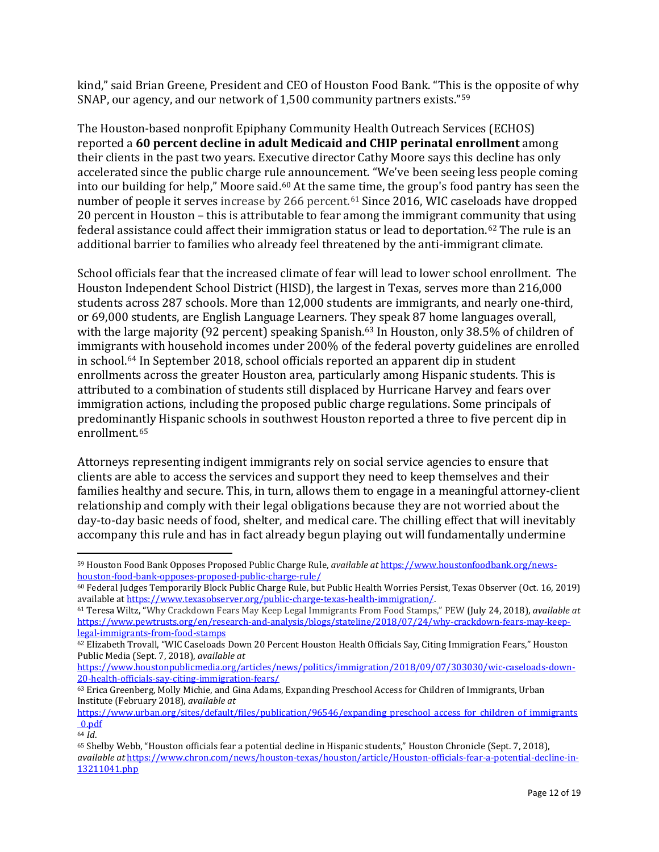kind," said Brian Greene, President and CEO of Houston Food Bank. "This is the opposite of why SNAP, our agency, and our network of 1,500 community partners exists."[59](#page-11-0)

The Houston-based nonprofit Epiphany Community Health Outreach Services (ECHOS) reported a **60 percent decline in adult Medicaid and CHIP perinatal enrollment** among their clients in the past two years. Executive director Cathy Moore says this decline has only accelerated since the public charge rule announcement. "We've been seeing less people coming into our building for help," Moore said.<sup>[60](#page-11-1)</sup> At the same time, the group's food pantry has seen the number of people it serves increase by 266 percent.<sup>[61](#page-11-2)</sup> Since 2016, WIC caseloads have dropped 20 percent in Houston – this is attributable to fear among the immigrant community that using federal assistance could affect their immigration status or lead to deportation.[62](#page-11-3) The rule is an additional barrier to families who already feel threatened by the anti-immigrant climate.

School officials fear that the increased climate of fear will lead to lower school enrollment. The Houston Independent School District (HISD), the largest in Texas, serves more than 216,000 students across 287 schools. More than 12,000 students are immigrants, and nearly one-third, or 69,000 students, are English Language Learners. They speak 87 home languages overall, with the large majority (92 percent) speaking Spanish.<sup>[63](#page-11-4)</sup> In Houston, only 38.5% of children of immigrants with household incomes under 200% of the federal poverty guidelines are enrolled in school.[64](#page-11-5) In September 2018, school officials reported an apparent dip in student enrollments across the greater Houston area, particularly among Hispanic students. This is attributed to a combination of students still displaced by Hurricane Harvey and fears over immigration actions, including the proposed public charge regulations. Some principals of predominantly Hispanic schools in southwest Houston reported a three to five percent dip in enrollment[.65](#page-11-6)

Attorneys representing indigent immigrants rely on social service agencies to ensure that clients are able to access the services and support they need to keep themselves and their families healthy and secure. This, in turn, allows them to engage in a meaningful attorney-client relationship and comply with their legal obligations because they are not worried about the day-to-day basic needs of food, shelter, and medical care. The chilling effect that will inevitably accompany this rule and has in fact already begun playing out will fundamentally undermine

<span id="page-11-0"></span><sup>59</sup> Houston Food Bank Opposes Proposed Public Charge Rule, *available at* [https://www.houstonfoodbank.org/news](https://www.houstonfoodbank.org/news-houston-food-bank-opposes-proposed-public-charge-rule/)[houston-food-bank-opposes-proposed-public-charge-rule/](https://www.houstonfoodbank.org/news-houston-food-bank-opposes-proposed-public-charge-rule/)

<span id="page-11-1"></span><sup>60</sup> Federal Judges Temporarily Block Public Charge Rule, but Public Health Worries Persist, Texas Observer (Oct. 16, 2019) available at [https://www.texasobserver.org/public-charge-texas-health-immigration/.](https://www.texasobserver.org/public-charge-texas-health-immigration/)

<span id="page-11-2"></span><sup>61</sup> Teresa Wiltz, "Why Crackdown Fears May Keep Legal Immigrants From Food Stamps," PEW (July 24, 2018), *available at* [https://www.pewtrusts.org/en/research-and-analysis/blogs/stateline/2018/07/24/why-crackdown-fears-may-keep](https://www.pewtrusts.org/en/research-and-analysis/blogs/stateline/2018/07/24/why-crackdown-fears-may-keep-legal-immigrants-from-food-stamps)[legal-immigrants-from-food-stamps](https://www.pewtrusts.org/en/research-and-analysis/blogs/stateline/2018/07/24/why-crackdown-fears-may-keep-legal-immigrants-from-food-stamps)

<span id="page-11-3"></span><sup>62</sup> Elizabeth Trovall, "WIC Caseloads Down 20 Percent Houston Health Officials Say, Citing Immigration Fears," Houston Public Media (Sept. 7, 2018), *available at*

[https://www.houstonpublicmedia.org/articles/news/politics/immigration/2018/09/07/303030/wic-caseloads-down-](https://www.houstonpublicmedia.org/articles/news/politics/immigration/2018/09/07/303030/wic-caseloads-down-20-health-officials-say-citing-immigration-fears/)[20-health-officials-say-citing-immigration-fears/](https://www.houstonpublicmedia.org/articles/news/politics/immigration/2018/09/07/303030/wic-caseloads-down-20-health-officials-say-citing-immigration-fears/)

<span id="page-11-4"></span><sup>63</sup> Erica Greenberg, Molly Michie, and Gina Adams, Expanding Preschool Access for Children of Immigrants, Urban Institute (February 2018), *available at*

[https://www.urban.org/sites/default/files/publication/96546/expanding\\_preschool\\_access\\_for\\_children\\_of\\_immigrants](https://www.urban.org/sites/default/files/publication/96546/expanding_preschool_access_for_children_of_immigrants_0.pdf) [\\_0.pdf](https://www.urban.org/sites/default/files/publication/96546/expanding_preschool_access_for_children_of_immigrants_0.pdf) <sup>64</sup> *Id*.

<span id="page-11-6"></span><span id="page-11-5"></span><sup>65</sup> Shelby Webb, "Houston officials fear a potential decline in Hispanic students," Houston Chronicle (Sept. 7, 2018), *available at* [https://www.chron.com/news/houston-texas/houston/article/Houston-officials-fear-a-potential-decline-in-](https://www.chron.com/news/houston-texas/houston/article/Houston-officials-fear-a-potential-decline-in-13211041.php)[13211041.php](https://www.chron.com/news/houston-texas/houston/article/Houston-officials-fear-a-potential-decline-in-13211041.php)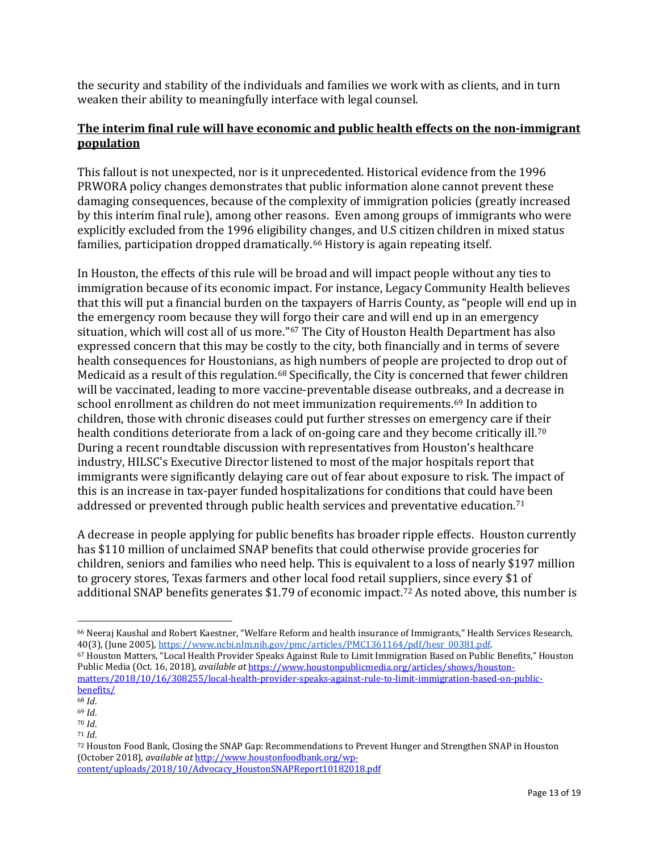the security and stability of the individuals and families we work with as clients, and in turn weaken their ability to meaningfully interface with legal counsel.

## **The interim final rule will have economic and public health effects on the non-immigrant population**

This fallout is not unexpected, nor is it unprecedented. Historical evidence from the 1996 PRWORA policy changes demonstrates that public information alone cannot prevent these damaging consequences, because of the complexity of immigration policies (greatly increased by this interim final rule), among other reasons. Even among groups of immigrants who were explicitly excluded from the 1996 eligibility changes, and U.S citizen children in mixed status families, participation dropped dramatically.[66](#page-12-0) History is again repeating itself.

In Houston, the effects of this rule will be broad and will impact people without any ties to immigration because of its economic impact. For instance, Legacy Community Health believes that this will put a financial burden on the taxpayers of Harris County, as "people will end up in the emergency room because they will forgo their care and will end up in an emergency situation, which will cost all of us more."<sup>[67](#page-12-1)</sup> The City of Houston Health Department has also expressed concern that this may be costly to the city, both financially and in terms of severe health consequences for Houstonians, as high numbers of people are projected to drop out of Medicaid as a result of this regulation.<sup>[68](#page-12-2)</sup> Specifically, the City is concerned that fewer children will be vaccinated, leading to more vaccine-preventable disease outbreaks, and a decrease in school enrollment as children do not meet immunization requirements.[69](#page-12-3) In addition to children, those with chronic diseases could put further stresses on emergency care if their health conditions deteriorate from a lack of on-going care and they become critically ill.<sup>[70](#page-12-4)</sup> During a recent roundtable discussion with representatives from Houston's healthcare industry, HILSC's Executive Director listened to most of the major hospitals report that immigrants were significantly delaying care out of fear about exposure to risk. The impact of this is an increase in tax-payer funded hospitalizations for conditions that could have been addressed or prevented through public health services and preventative education.[71](#page-12-5)

A decrease in people applying for public benefits has broader ripple effects. Houston currently has \$110 million of unclaimed SNAP benefits that could otherwise provide groceries for children, seniors and families who need help. This is equivalent to a loss of nearly \$197 million to grocery stores, Texas farmers and other local food retail suppliers, since every \$1 of additional SNAP benefits generates \$1.79 of economic impact.<sup>[72](#page-12-6)</sup> As noted above, this number is

<span id="page-12-1"></span>67 Houston Matters, "Local Health Provider Speaks Against Rule to Limit Immigration Based on Public Benefits," Houston Public Media (Oct. 16, 2018), *available at* [https://www.houstonpublicmedia.org/articles/shows/houston](https://www.houstonpublicmedia.org/articles/shows/houston-matters/2018/10/16/308255/local-health-provider-speaks-against-rule-to-limit-immigration-based-on-public-benefits/)[matters/2018/10/16/308255/local-health-provider-speaks-against-rule-to-limit-immigration-based-on-public](https://www.houstonpublicmedia.org/articles/shows/houston-matters/2018/10/16/308255/local-health-provider-speaks-against-rule-to-limit-immigration-based-on-public-benefits/)[benefits/](https://www.houstonpublicmedia.org/articles/shows/houston-matters/2018/10/16/308255/local-health-provider-speaks-against-rule-to-limit-immigration-based-on-public-benefits/)

<span id="page-12-0"></span><sup>&</sup>lt;sup>66</sup> Neeraj Kaushal and Robert Kaestner, "Welfare Reform and health insurance of Immigrants," Health Services Research, 40(3), (June 2005), https://www.ncbi.nlm.nih.gov/pmc/articles/PMC1361164/pdf/hesr 00381.pdf.

<span id="page-12-2"></span><sup>68</sup> *Id*.

<span id="page-12-3"></span><sup>69</sup> *Id*.

<span id="page-12-4"></span><sup>70</sup> *Id*. <sup>71</sup> *Id*.

<span id="page-12-6"></span><span id="page-12-5"></span><sup>72</sup> Houston Food Bank, Closing the SNAP Gap: Recommendations to Prevent Hunger and Strengthen SNAP in Houston (October 2018), *available at* [http://www.houstonfoodbank.org/wp](http://www.houstonfoodbank.org/wp-content/uploads/2018/10/Advocacy_HoustonSNAPReport10182018.pdf)[content/uploads/2018/10/Advocacy\\_HoustonSNAPReport10182018.pdf](http://www.houstonfoodbank.org/wp-content/uploads/2018/10/Advocacy_HoustonSNAPReport10182018.pdf)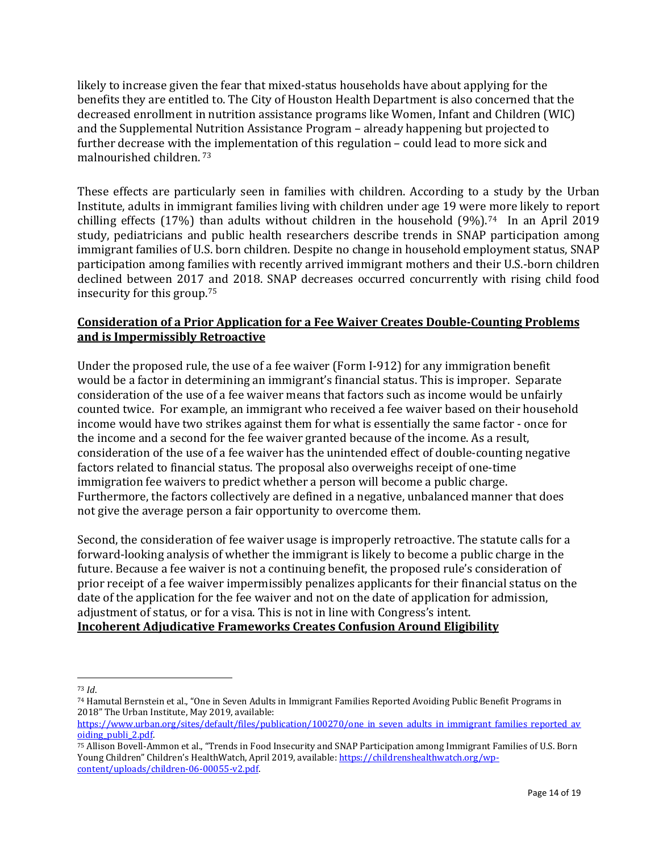likely to increase given the fear that mixed-status households have about applying for the benefits they are entitled to. The City of Houston Health Department is also concerned that the decreased enrollment in nutrition assistance programs like Women, Infant and Children (WIC) and the Supplemental Nutrition Assistance Program – already happening but projected to further decrease with t[he](#page-13-0) implementation of this regulation – could lead to more sick and malnourished children. <sup>73</sup>

These effects are particularly seen in families with children. According to a study by the Urban Institute, adults in immigrant families living with children under age 19 were more likely to report chilling effects (17%) than adults without children in the household  $(9\%)$ .<sup>[74](#page-13-1)</sup> In an April 2019 study, pediatricians and public health researchers describe trends in SNAP participation among immigrant families of U.S. born children. Despite no change in household employment status, SNAP participation among families with recently arrived immigrant mothers and their U.S.-born children declined between 2017 and 2018. SNAP decreases occurred concurrently with rising child food insecurity for this group.[75](#page-13-2)

### **Consideration of a Prior Application for a Fee Waiver Creates Double-Counting Problems and is Impermissibly Retroactive**

Under the proposed rule, the use of a fee waiver (Form I-912) for any immigration benefit would be a factor in determining an immigrant's financial status. This is improper. Separate consideration of the use of a fee waiver means that factors such as income would be unfairly counted twice. For example, an immigrant who received a fee waiver based on their household income would have two strikes against them for what is essentially the same factor - once for the income and a second for the fee waiver granted because of the income. As a result, consideration of the use of a fee waiver has the unintended effect of double-counting negative factors related to financial status. The proposal also overweighs receipt of one-time immigration fee waivers to predict whether a person will become a public charge. Furthermore, the factors collectively are defined in a negative, unbalanced manner that does not give the average person a fair opportunity to overcome them.

Second, the consideration of fee waiver usage is improperly retroactive. The statute calls for a forward-looking analysis of whether the immigrant is likely to become a public charge in the future. Because a fee waiver is not a continuing benefit, the proposed rule's consideration of prior receipt of a fee waiver impermissibly penalizes applicants for their financial status on the date of the application for the fee waiver and not on the date of application for admission, adjustment of status, or for a visa. This is not in line with Congress's intent. **Incoherent Adjudicative Frameworks Creates Confusion Around Eligibility**

<span id="page-13-0"></span><sup>73</sup> *Id*.

<span id="page-13-1"></span><sup>74</sup> Hamutal Bernstein et al., "One in Seven Adults in Immigrant Families Reported Avoiding Public Benefit Programs in 2018" The Urban Institute, May 2019, available:

[https://www.urban.org/sites/default/files/publication/100270/one\\_in\\_seven\\_adults\\_in\\_immigrant\\_families\\_reported\\_av](https://www.urban.org/sites/default/files/publication/100270/one_in_seven_adults_in_immigrant_families_reported_avoiding_publi_2.pdf) [oiding\\_publi\\_2.pdf.](https://www.urban.org/sites/default/files/publication/100270/one_in_seven_adults_in_immigrant_families_reported_avoiding_publi_2.pdf)

<span id="page-13-2"></span><sup>75</sup> Allison Bovell-Ammon et al., "Trends in Food Insecurity and SNAP Participation among Immigrant Families of U.S. Born Young Children" Children's HealthWatch, April 2019, available: [https://childrenshealthwatch.org/wp](https://childrenshealthwatch.org/wp-content/uploads/children-06-00055-v2.pdf)[content/uploads/children-06-00055-v2.pdf.](https://childrenshealthwatch.org/wp-content/uploads/children-06-00055-v2.pdf)